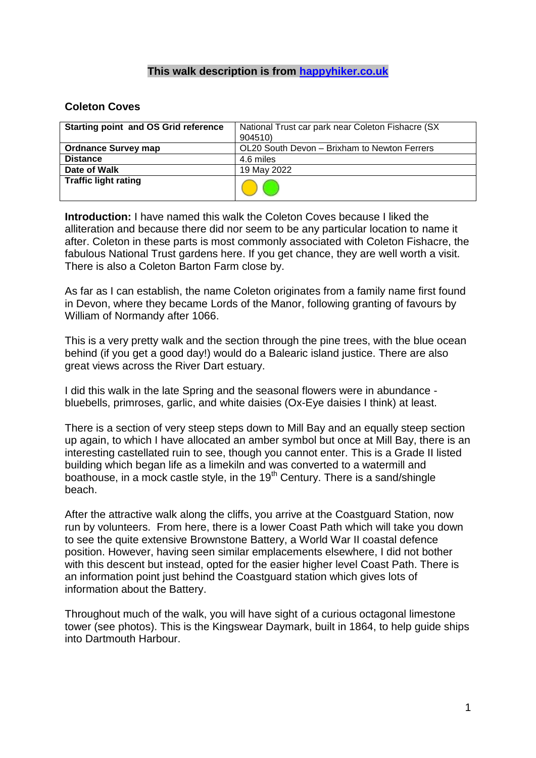## **This walk description is from [happyhiker.co.uk](http://happyhiker.co.uk/)**

## **Coleton Coves**

| <b>Starting point and OS Grid reference</b> | National Trust car park near Coleton Fishacre (SX) |
|---------------------------------------------|----------------------------------------------------|
|                                             | 904510)                                            |
| <b>Ordnance Survey map</b>                  | OL20 South Devon - Brixham to Newton Ferrers       |
| <b>Distance</b>                             | 4.6 miles                                          |
| Date of Walk                                | 19 May 2022                                        |
| <b>Traffic light rating</b>                 |                                                    |

**Introduction:** I have named this walk the Coleton Coves because I liked the alliteration and because there did nor seem to be any particular location to name it after. Coleton in these parts is most commonly associated with Coleton Fishacre, the fabulous National Trust gardens here. If you get chance, they are well worth a visit. There is also a Coleton Barton Farm close by.

As far as I can establish, the name Coleton originates from a family name first found in Devon, where they became Lords of the Manor, following granting of favours by William of Normandy after 1066.

This is a very pretty walk and the section through the pine trees, with the blue ocean behind (if you get a good day!) would do a Balearic island justice. There are also great views across the River Dart estuary.

I did this walk in the late Spring and the seasonal flowers were in abundance bluebells, primroses, garlic, and white daisies (Ox-Eye daisies I think) at least.

There is a section of very steep steps down to Mill Bay and an equally steep section up again, to which I have allocated an amber symbol but once at Mill Bay, there is an interesting castellated ruin to see, though you cannot enter. This is a Grade II listed building which began life as a limekiln and was converted to a watermill and boathouse, in a mock castle style, in the  $19<sup>th</sup>$  Century. There is a sand/shingle beach.

After the attractive walk along the cliffs, you arrive at the Coastguard Station, now run by volunteers. From here, there is a lower Coast Path which will take you down to see the quite extensive Brownstone Battery, a World War II coastal defence position. However, having seen similar emplacements elsewhere, I did not bother with this descent but instead, opted for the easier higher level Coast Path. There is an information point just behind the Coastguard station which gives lots of information about the Battery.

Throughout much of the walk, you will have sight of a curious octagonal limestone tower (see photos). This is the Kingswear Daymark, built in 1864, to help guide ships into Dartmouth Harbour.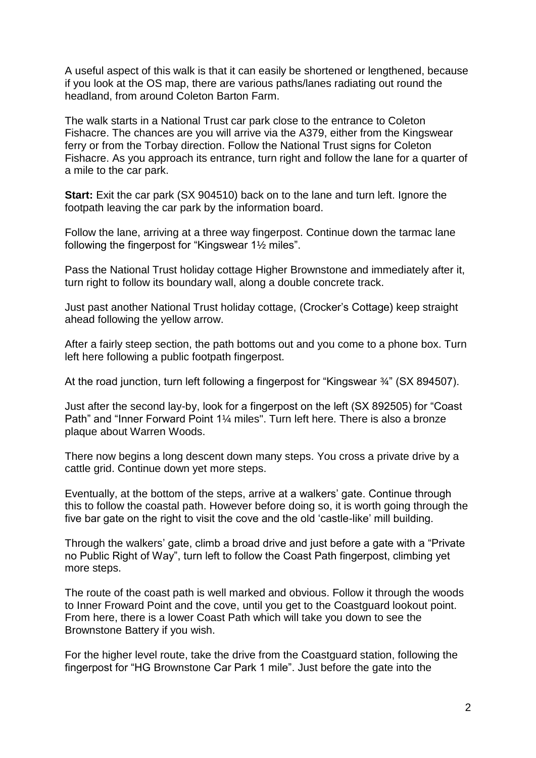A useful aspect of this walk is that it can easily be shortened or lengthened, because if you look at the OS map, there are various paths/lanes radiating out round the headland, from around Coleton Barton Farm.

The walk starts in a National Trust car park close to the entrance to Coleton Fishacre. The chances are you will arrive via the A379, either from the Kingswear ferry or from the Torbay direction. Follow the National Trust signs for Coleton Fishacre. As you approach its entrance, turn right and follow the lane for a quarter of a mile to the car park.

**Start:** Exit the car park (SX 904510) back on to the lane and turn left. Ignore the footpath leaving the car park by the information board.

Follow the lane, arriving at a three way fingerpost. Continue down the tarmac lane following the fingerpost for "Kingswear 1½ miles".

Pass the National Trust holiday cottage Higher Brownstone and immediately after it, turn right to follow its boundary wall, along a double concrete track.

Just past another National Trust holiday cottage, (Crocker's Cottage) keep straight ahead following the yellow arrow.

After a fairly steep section, the path bottoms out and you come to a phone box. Turn left here following a public footpath fingerpost.

At the road junction, turn left following a fingerpost for "Kingswear ¾" (SX 894507).

Just after the second lay-by, look for a fingerpost on the left (SX 892505) for "Coast Path" and "Inner Forward Point 1¼ miles". Turn left here. There is also a bronze plaque about Warren Woods.

There now begins a long descent down many steps. You cross a private drive by a cattle grid. Continue down yet more steps.

Eventually, at the bottom of the steps, arrive at a walkers' gate. Continue through this to follow the coastal path. However before doing so, it is worth going through the five bar gate on the right to visit the cove and the old 'castle-like' mill building.

Through the walkers' gate, climb a broad drive and just before a gate with a "Private no Public Right of Way", turn left to follow the Coast Path fingerpost, climbing yet more steps.

The route of the coast path is well marked and obvious. Follow it through the woods to Inner Froward Point and the cove, until you get to the Coastguard lookout point. From here, there is a lower Coast Path which will take you down to see the Brownstone Battery if you wish.

For the higher level route, take the drive from the Coastguard station, following the fingerpost for "HG Brownstone Car Park 1 mile". Just before the gate into the